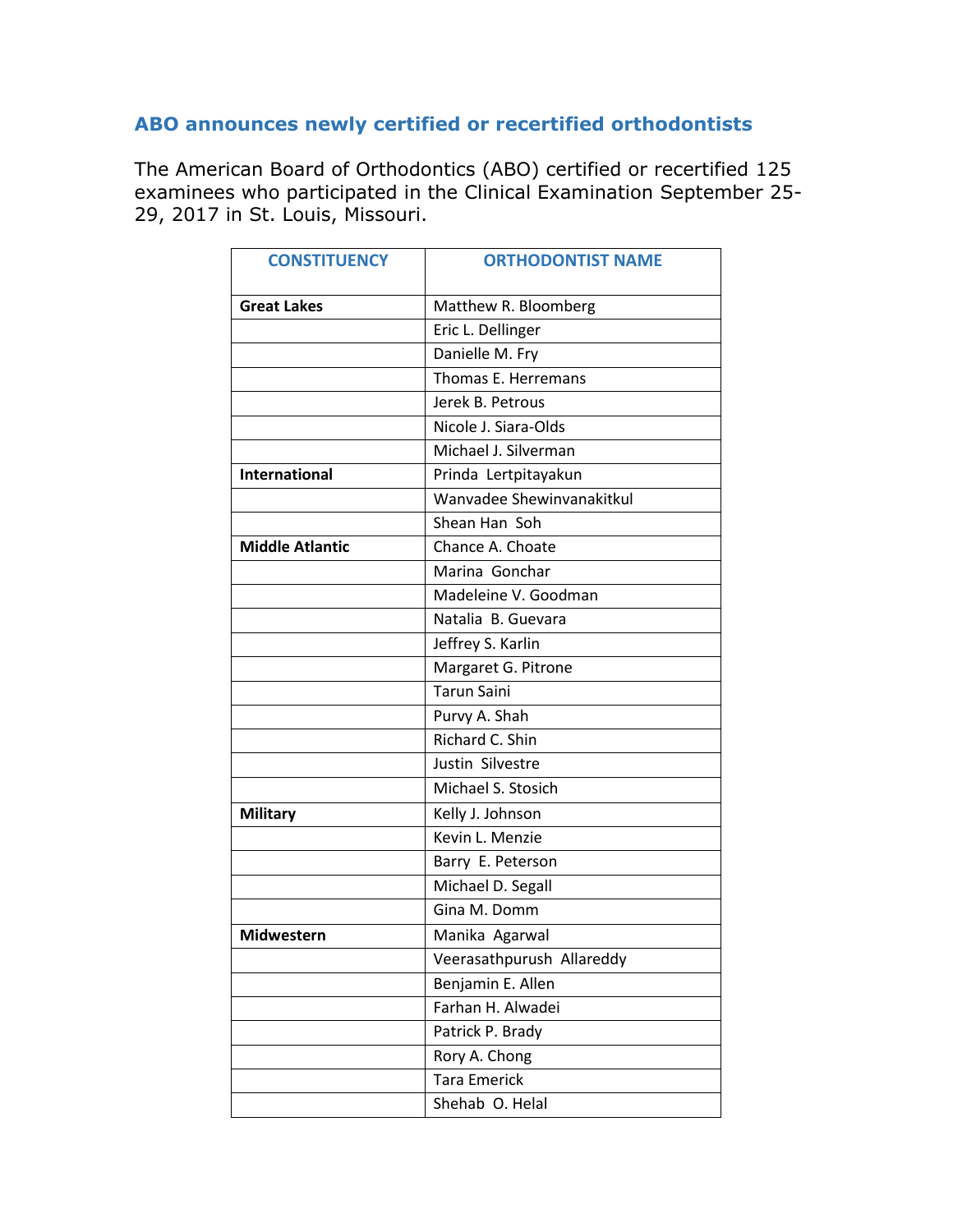## **ABO announces newly certified or recertified orthodontists**

The American Board of Orthodontics (ABO) certified or recertified 125 examinees who participated in the Clinical Examination September 25- 29, 2017 in St. Louis, Missouri.

| <b>CONSTITUENCY</b>    | <b>ORTHODONTIST NAME</b>  |
|------------------------|---------------------------|
| <b>Great Lakes</b>     | Matthew R. Bloomberg      |
|                        | Eric L. Dellinger         |
|                        | Danielle M. Fry           |
|                        | Thomas E. Herremans       |
|                        | Jerek B. Petrous          |
|                        | Nicole J. Siara-Olds      |
|                        | Michael J. Silverman      |
| <b>International</b>   | Prinda Lertpitayakun      |
|                        | Wanvadee Shewinvanakitkul |
|                        | Shean Han Soh             |
| <b>Middle Atlantic</b> | Chance A. Choate          |
|                        | Marina Gonchar            |
|                        | Madeleine V. Goodman      |
|                        | Natalia B. Guevara        |
|                        | Jeffrey S. Karlin         |
|                        | Margaret G. Pitrone       |
|                        | <b>Tarun Saini</b>        |
|                        | Purvy A. Shah             |
|                        | Richard C. Shin           |
|                        | Justin Silvestre          |
|                        | Michael S. Stosich        |
| <b>Military</b>        | Kelly J. Johnson          |
|                        | Kevin L. Menzie           |
|                        | Barry E. Peterson         |
|                        | Michael D. Segall         |
|                        | Gina M. Domm              |
| <b>Midwestern</b>      | Manika Agarwal            |
|                        | Veerasathpurush Allareddy |
|                        | Benjamin E. Allen         |
|                        | Farhan H. Alwadei         |
|                        | Patrick P. Brady          |
|                        | Rory A. Chong             |
|                        | <b>Tara Emerick</b>       |
|                        | Shehab O. Helal           |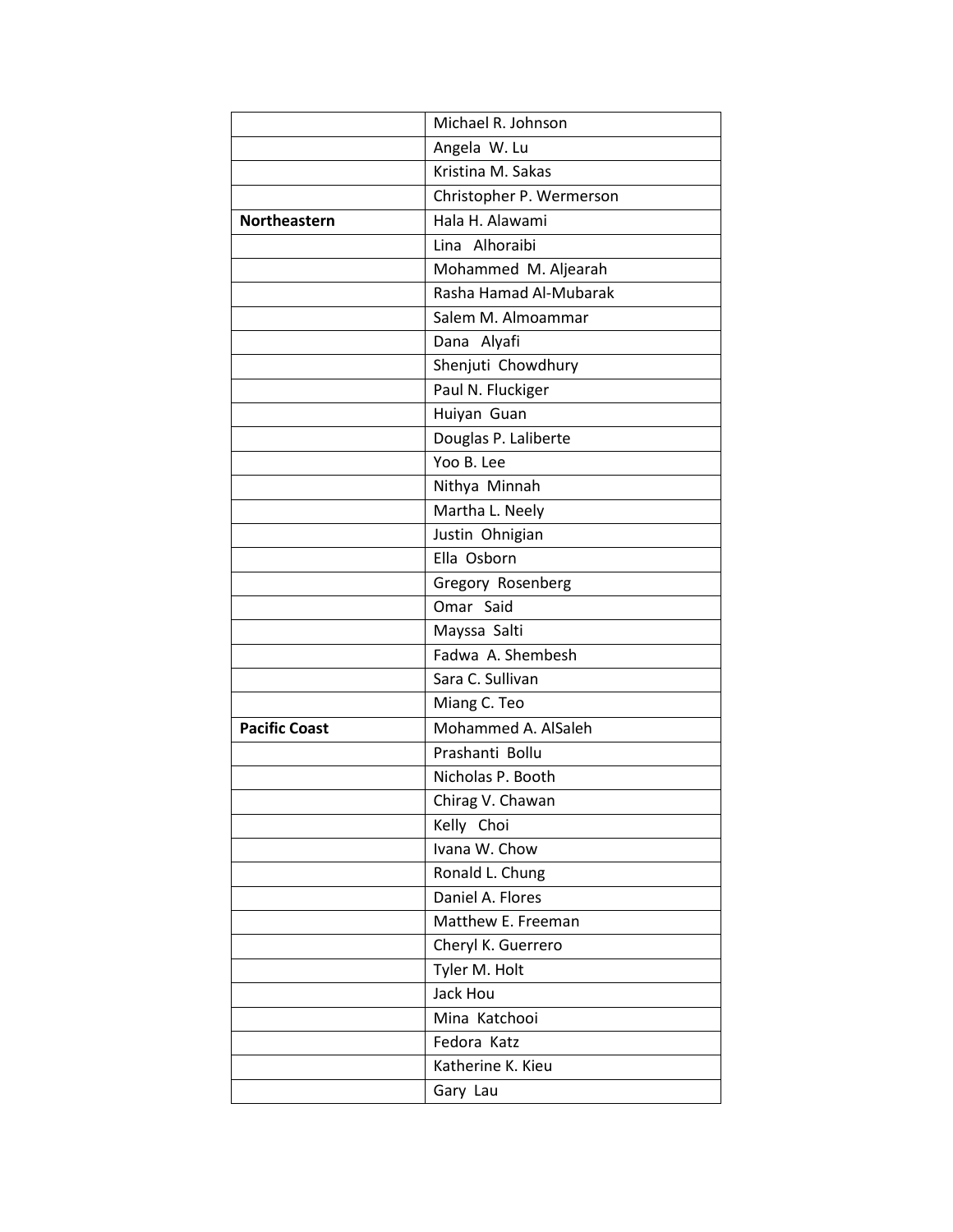|                      | Michael R. Johnson       |
|----------------------|--------------------------|
|                      | Angela W. Lu             |
|                      | Kristina M. Sakas        |
|                      | Christopher P. Wermerson |
| <b>Northeastern</b>  | Hala H. Alawami          |
|                      | Lina Alhoraibi           |
|                      | Mohammed M. Aljearah     |
|                      | Rasha Hamad Al-Mubarak   |
|                      | Salem M. Almoammar       |
|                      | Dana Alyafi              |
|                      | Shenjuti Chowdhury       |
|                      | Paul N. Fluckiger        |
|                      | Huiyan Guan              |
|                      | Douglas P. Laliberte     |
|                      | Yoo B. Lee               |
|                      | Nithya Minnah            |
|                      | Martha L. Neely          |
|                      | Justin Ohnigian          |
|                      | Ella Osborn              |
|                      | Gregory Rosenberg        |
|                      | Omar Said                |
|                      | Mayssa Salti             |
|                      | Fadwa A. Shembesh        |
|                      | Sara C. Sullivan         |
|                      | Miang C. Teo             |
| <b>Pacific Coast</b> | Mohammed A. AlSaleh      |
|                      | Prashanti Bollu          |
|                      | Nicholas P. Booth        |
|                      | Chirag V. Chawan         |
|                      | Kelly Choi               |
|                      | Ivana W. Chow            |
|                      | Ronald L. Chung          |
|                      | Daniel A. Flores         |
|                      | Matthew E. Freeman       |
|                      | Cheryl K. Guerrero       |
|                      | Tyler M. Holt            |
|                      | Jack Hou                 |
|                      | Mina Katchooi            |
|                      | Fedora Katz              |
|                      | Katherine K. Kieu        |
|                      | Gary Lau                 |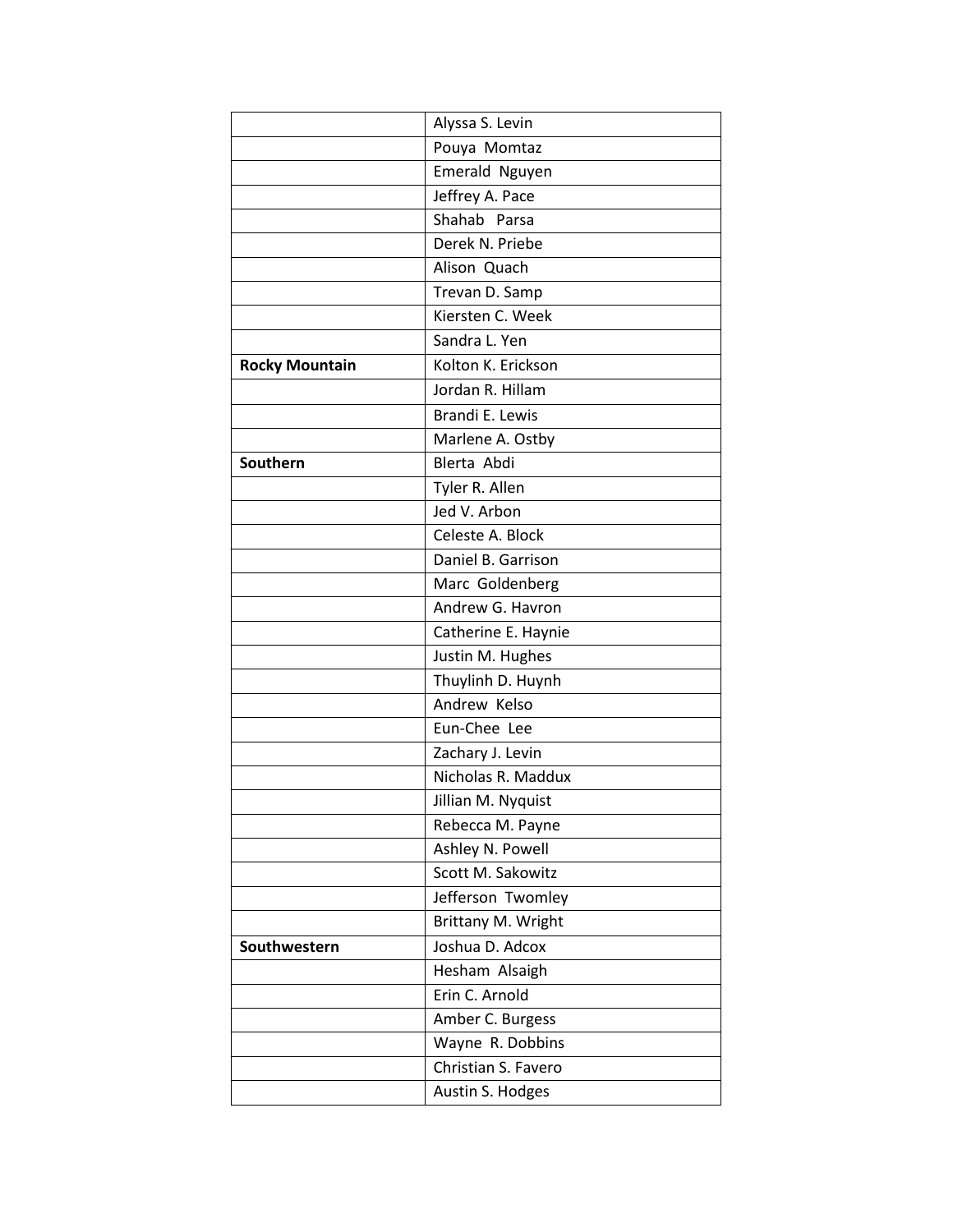|                       | Alyssa S. Levin     |
|-----------------------|---------------------|
|                       | Pouya Momtaz        |
|                       | Emerald Nguyen      |
|                       | Jeffrey A. Pace     |
|                       | Shahab Parsa        |
|                       | Derek N. Priebe     |
|                       | Alison Quach        |
|                       | Trevan D. Samp      |
|                       | Kiersten C. Week    |
|                       | Sandra L. Yen       |
| <b>Rocky Mountain</b> | Kolton K. Erickson  |
|                       | Jordan R. Hillam    |
|                       | Brandi E. Lewis     |
|                       | Marlene A. Ostby    |
| Southern              | Blerta Abdi         |
|                       | Tyler R. Allen      |
|                       | Jed V. Arbon        |
|                       | Celeste A. Block    |
|                       | Daniel B. Garrison  |
|                       | Marc Goldenberg     |
|                       | Andrew G. Havron    |
|                       | Catherine E. Haynie |
|                       | Justin M. Hughes    |
|                       | Thuylinh D. Huynh   |
|                       | Andrew Kelso        |
|                       | Eun-Chee Lee        |
|                       | Zachary J. Levin    |
|                       | Nicholas R. Maddux  |
|                       | Jillian M. Nyquist  |
|                       | Rebecca M. Payne    |
|                       | Ashley N. Powell    |
|                       | Scott M. Sakowitz   |
|                       | Jefferson Twomley   |
|                       | Brittany M. Wright  |
| Southwestern          | Joshua D. Adcox     |
|                       | Hesham Alsaigh      |
|                       | Erin C. Arnold      |
|                       | Amber C. Burgess    |
|                       | Wayne R. Dobbins    |
|                       | Christian S. Favero |
|                       | Austin S. Hodges    |